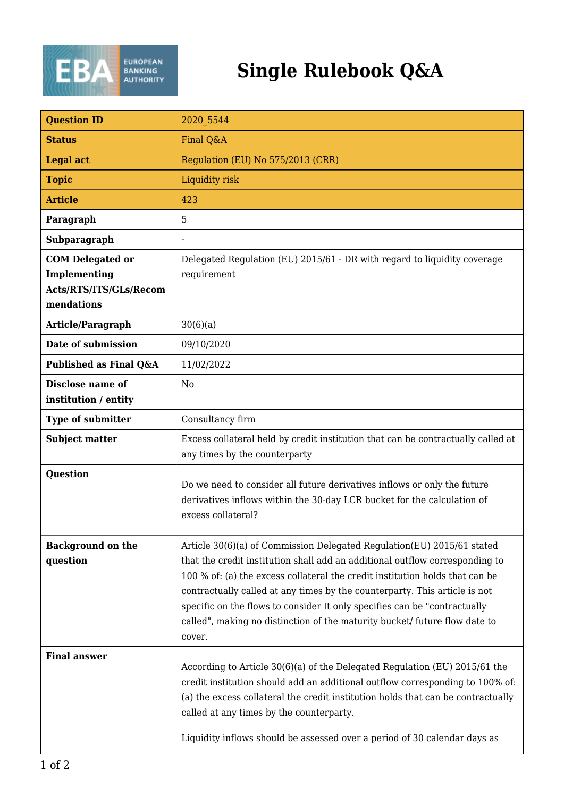

## **Single Rulebook Q&A**

| <b>Question ID</b>                       | 2020 5544                                                                                                                                                                                                                                                                                                                                                                                                                                                                                 |
|------------------------------------------|-------------------------------------------------------------------------------------------------------------------------------------------------------------------------------------------------------------------------------------------------------------------------------------------------------------------------------------------------------------------------------------------------------------------------------------------------------------------------------------------|
| <b>Status</b>                            | Final Q&A                                                                                                                                                                                                                                                                                                                                                                                                                                                                                 |
| <b>Legal act</b>                         | Regulation (EU) No 575/2013 (CRR)                                                                                                                                                                                                                                                                                                                                                                                                                                                         |
| <b>Topic</b>                             | Liquidity risk                                                                                                                                                                                                                                                                                                                                                                                                                                                                            |
| <b>Article</b>                           | 423                                                                                                                                                                                                                                                                                                                                                                                                                                                                                       |
| Paragraph                                | 5                                                                                                                                                                                                                                                                                                                                                                                                                                                                                         |
| Subparagraph                             | $\overline{a}$                                                                                                                                                                                                                                                                                                                                                                                                                                                                            |
| <b>COM Delegated or</b>                  | Delegated Regulation (EU) 2015/61 - DR with regard to liquidity coverage                                                                                                                                                                                                                                                                                                                                                                                                                  |
| Implementing                             | requirement                                                                                                                                                                                                                                                                                                                                                                                                                                                                               |
| Acts/RTS/ITS/GLs/Recom<br>mendations     |                                                                                                                                                                                                                                                                                                                                                                                                                                                                                           |
| Article/Paragraph                        | 30(6)(a)                                                                                                                                                                                                                                                                                                                                                                                                                                                                                  |
| Date of submission                       | 09/10/2020                                                                                                                                                                                                                                                                                                                                                                                                                                                                                |
| Published as Final Q&A                   | 11/02/2022                                                                                                                                                                                                                                                                                                                                                                                                                                                                                |
| Disclose name of<br>institution / entity | N <sub>0</sub>                                                                                                                                                                                                                                                                                                                                                                                                                                                                            |
| <b>Type of submitter</b>                 | Consultancy firm                                                                                                                                                                                                                                                                                                                                                                                                                                                                          |
| <b>Subject matter</b>                    | Excess collateral held by credit institution that can be contractually called at<br>any times by the counterparty                                                                                                                                                                                                                                                                                                                                                                         |
| <b>Question</b>                          | Do we need to consider all future derivatives inflows or only the future<br>derivatives inflows within the 30-day LCR bucket for the calculation of<br>excess collateral?                                                                                                                                                                                                                                                                                                                 |
| <b>Background on the</b><br>question     | Article 30(6)(a) of Commission Delegated Regulation(EU) 2015/61 stated<br>that the credit institution shall add an additional outflow corresponding to<br>100 % of: (a) the excess collateral the credit institution holds that can be<br>contractually called at any times by the counterparty. This article is not<br>specific on the flows to consider It only specifies can be "contractually<br>called", making no distinction of the maturity bucket/ future flow date to<br>cover. |
| <b>Final answer</b>                      | According to Article 30(6)(a) of the Delegated Regulation (EU) 2015/61 the<br>credit institution should add an additional outflow corresponding to 100% of:<br>(a) the excess collateral the credit institution holds that can be contractually<br>called at any times by the counterparty.<br>Liquidity inflows should be assessed over a period of 30 calendar days as                                                                                                                  |